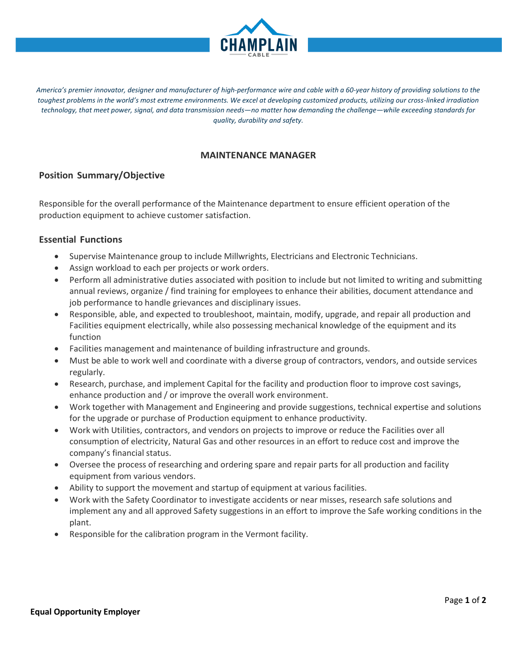

America's premier innovator, designer and manufacturer of high-performance wire and cable with a 60-year history of providing solutions to the *toughest problems in the world's most extreme environments. We excel at developing customized products, utilizing our cross-linked irradiation technology, that meet power, signal, and data transmission needs—no matter how demanding the challenge—while exceeding standards for quality, durability and safety.*

### **MAINTENANCE MANAGER**

### **Position Summary/Objective**

Responsible for the overall performance of the Maintenance department to ensure efficient operation of the production equipment to achieve customer satisfaction.

### **Essential Functions**

- Supervise Maintenance group to include Millwrights, Electricians and Electronic Technicians.
- Assign workload to each per projects or work orders.
- Perform all administrative duties associated with position to include but not limited to writing and submitting annual reviews, organize / find training for employees to enhance their abilities, document attendance and job performance to handle grievances and disciplinary issues.
- Responsible, able, and expected to troubleshoot, maintain, modify, upgrade, and repair all production and Facilities equipment electrically, while also possessing mechanical knowledge of the equipment and its function
- Facilities management and maintenance of building infrastructure and grounds.
- Must be able to work well and coordinate with a diverse group of contractors, vendors, and outside services regularly.
- Research, purchase, and implement Capital for the facility and production floor to improve cost savings, enhance production and / or improve the overall work environment.
- Work together with Management and Engineering and provide suggestions, technical expertise and solutions for the upgrade or purchase of Production equipment to enhance productivity.
- Work with Utilities, contractors, and vendors on projects to improve or reduce the Facilities over all consumption of electricity, Natural Gas and other resources in an effort to reduce cost and improve the company's financial status.
- Oversee the process of researching and ordering spare and repair parts for all production and facility equipment from various vendors.
- Ability to support the movement and startup of equipment at various facilities.
- Work with the Safety Coordinator to investigate accidents or near misses, research safe solutions and implement any and all approved Safety suggestions in an effort to improve the Safe working conditions in the plant.
- Responsible for the calibration program in the Vermont facility.